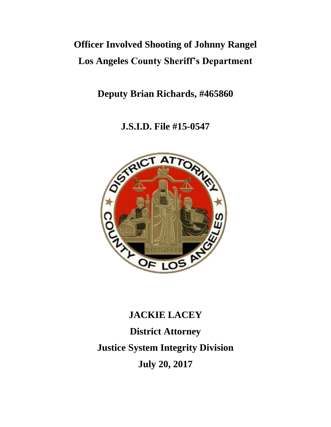# **Officer Involved Shooting of Johnny Rangel Los Angeles County Sheriff's Department**

**Deputy Brian Richards, #465860**

**J.S.I.D. File #15-0547**



# **JACKIE LACEY District Attorney Justice System Integrity Division July 20, 2017**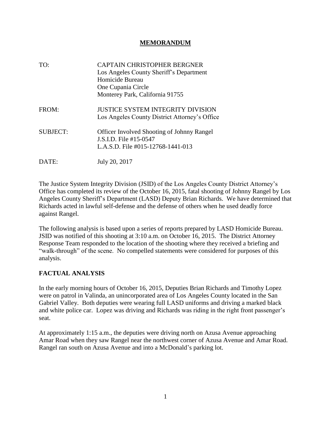#### **MEMORANDUM**

| TO:             | <b>CAPTAIN CHRISTOPHER BERGNER</b><br>Los Angeles County Sheriff's Department<br>Homicide Bureau<br>One Cupania Circle<br>Monterey Park, California 91755 |
|-----------------|-----------------------------------------------------------------------------------------------------------------------------------------------------------|
| FROM:           | <b>JUSTICE SYSTEM INTEGRITY DIVISION</b><br>Los Angeles County District Attorney's Office                                                                 |
| <b>SUBJECT:</b> | <b>Officer Involved Shooting of Johnny Rangel</b><br>J.S.I.D. File #15-0547<br>L.A.S.D. File #015-12768-1441-013                                          |
| DATE:           | July 20, 2017                                                                                                                                             |

The Justice System Integrity Division (JSID) of the Los Angeles County District Attorney's Office has completed its review of the October 16, 2015, fatal shooting of Johnny Rangel by Los Angeles County Sheriff's Department (LASD) Deputy Brian Richards. We have determined that Richards acted in lawful self-defense and the defense of others when he used deadly force against Rangel.

The following analysis is based upon a series of reports prepared by LASD Homicide Bureau. JSID was notified of this shooting at 3:10 a.m. on October 16, 2015. The District Attorney Response Team responded to the location of the shooting where they received a briefing and "walk-through" of the scene. No compelled statements were considered for purposes of this analysis.

# **FACTUAL ANALYSIS**

In the early morning hours of October 16, 2015, Deputies Brian Richards and Timothy Lopez were on patrol in Valinda, an unincorporated area of Los Angeles County located in the San Gabriel Valley. Both deputies were wearing full LASD uniforms and driving a marked black and white police car. Lopez was driving and Richards was riding in the right front passenger's seat.

At approximately 1:15 a.m., the deputies were driving north on Azusa Avenue approaching Amar Road when they saw Rangel near the northwest corner of Azusa Avenue and Amar Road. Rangel ran south on Azusa Avenue and into a McDonald's parking lot.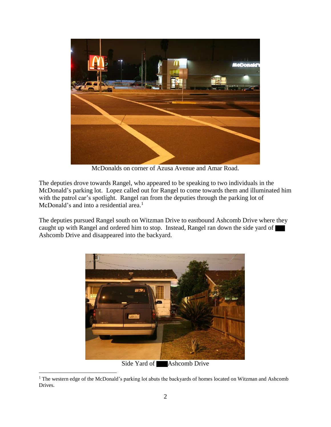

McDonalds on corner of Azusa Avenue and Amar Road.

The deputies drove towards Rangel, who appeared to be speaking to two individuals in the McDonald's parking lot. Lopez called out for Rangel to come towards them and illuminated him with the patrol car's spotlight. Rangel ran from the deputies through the parking lot of McDonald's and into a residential area. $<sup>1</sup>$ </sup>

The deputies pursued Rangel south on Witzman Drive to eastbound Ashcomb Drive where they caught up with Rangel and ordered him to stop. Instead, Rangel ran down the side yard of  $\blacksquare$ Ashcomb Drive and disappeared into the backyard.



<sup>&</sup>lt;sup>1</sup> The western edge of the McDonald's parking lot abuts the backyards of homes located on Witzman and Ashcomb Drives.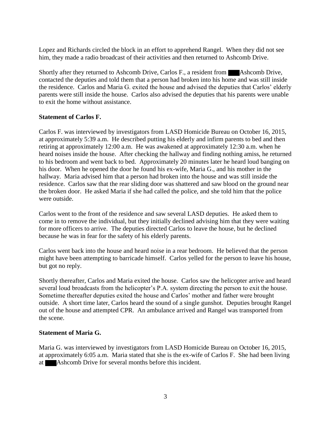Lopez and Richards circled the block in an effort to apprehend Rangel. When they did not see him, they made a radio broadcast of their activities and then returned to Ashcomb Drive.

Shortly after they returned to Ashcomb Drive, Carlos F., a resident from **Ashcomb Drive**, contacted the deputies and told them that a person had broken into his home and was still inside the residence. Carlos and Maria G. exited the house and advised the deputies that Carlos' elderly parents were still inside the house. Carlos also advised the deputies that his parents were unable to exit the home without assistance.

#### **Statement of Carlos F.**

Carlos F. was interviewed by investigators from LASD Homicide Bureau on October 16, 2015, at approximately 5:39 a.m. He described putting his elderly and infirm parents to bed and then retiring at approximately 12:00 a.m. He was awakened at approximately 12:30 a.m. when he heard noises inside the house. After checking the hallway and finding nothing amiss, he returned to his bedroom and went back to bed. Approximately 20 minutes later he heard loud banging on his door. When he opened the door he found his ex-wife, Maria G., and his mother in the hallway. Maria advised him that a person had broken into the house and was still inside the residence. Carlos saw that the rear sliding door was shattered and saw blood on the ground near the broken door. He asked Maria if she had called the police, and she told him that the police were outside.

Carlos went to the front of the residence and saw several LASD deputies. He asked them to come in to remove the individual, but they initially declined advising him that they were waiting for more officers to arrive. The deputies directed Carlos to leave the house, but he declined because he was in fear for the safety of his elderly parents.

Carlos went back into the house and heard noise in a rear bedroom. He believed that the person might have been attempting to barricade himself. Carlos yelled for the person to leave his house, but got no reply.

Shortly thereafter, Carlos and Maria exited the house. Carlos saw the helicopter arrive and heard several loud broadcasts from the helicopter's P.A. system directing the person to exit the house. Sometime thereafter deputies exited the house and Carlos' mother and father were brought outside. A short time later, Carlos heard the sound of a single gunshot. Deputies brought Rangel out of the house and attempted CPR. An ambulance arrived and Rangel was transported from the scene.

# **Statement of Maria G.**

Maria G. was interviewed by investigators from LASD Homicide Bureau on October 16, 2015, at approximately 6:05 a.m. Maria stated that she is the ex-wife of Carlos F. She had been living at Ashcomb Drive for several months before this incident.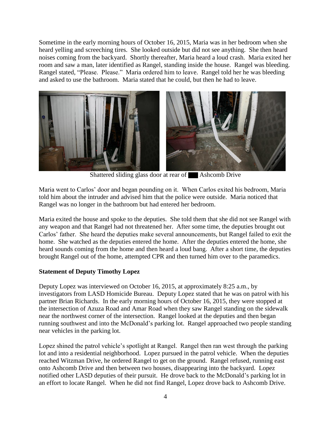Sometime in the early morning hours of October 16, 2015, Maria was in her bedroom when she heard yelling and screeching tires. She looked outside but did not see anything. She then heard noises coming from the backyard. Shortly thereafter, Maria heard a loud crash. Maria exited her room and saw a man, later identified as Rangel, standing inside the house. Rangel was bleeding. Rangel stated, "Please. Please." Maria ordered him to leave. Rangel told her he was bleeding and asked to use the bathroom. Maria stated that he could, but then he had to leave.



Shattered sliding glass door at rear of **Ashcomb Drive** 

Maria went to Carlos' door and began pounding on it. When Carlos exited his bedroom, Maria told him about the intruder and advised him that the police were outside. Maria noticed that Rangel was no longer in the bathroom but had entered her bedroom.

Maria exited the house and spoke to the deputies. She told them that she did not see Rangel with any weapon and that Rangel had not threatened her. After some time, the deputies brought out Carlos' father. She heard the deputies make several announcements, but Rangel failed to exit the home. She watched as the deputies entered the home. After the deputies entered the home, she heard sounds coming from the home and then heard a loud bang. After a short time, the deputies brought Rangel out of the home, attempted CPR and then turned him over to the paramedics.

#### **Statement of Deputy Timothy Lopez**

Deputy Lopez was interviewed on October 16, 2015, at approximately 8:25 a.m., by investigators from LASD Homicide Bureau. Deputy Lopez stated that he was on patrol with his partner Brian Richards. In the early morning hours of October 16, 2015, they were stopped at the intersection of Azuza Road and Amar Road when they saw Rangel standing on the sidewalk near the northwest corner of the intersection. Rangel looked at the deputies and then began running southwest and into the McDonald's parking lot. Rangel approached two people standing near vehicles in the parking lot.

Lopez shined the patrol vehicle's spotlight at Rangel. Rangel then ran west through the parking lot and into a residential neighborhood. Lopez pursued in the patrol vehicle. When the deputies reached Witzman Drive, he ordered Rangel to get on the ground. Rangel refused, running east onto Ashcomb Drive and then between two houses, disappearing into the backyard. Lopez notified other LASD deputies of their pursuit. He drove back to the McDonald's parking lot in an effort to locate Rangel. When he did not find Rangel, Lopez drove back to Ashcomb Drive.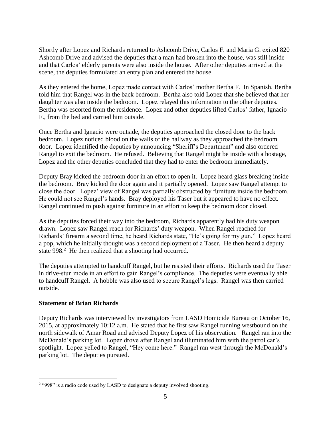Shortly after Lopez and Richards returned to Ashcomb Drive, Carlos F. and Maria G. exited 820 Ashcomb Drive and advised the deputies that a man had broken into the house, was still inside and that Carlos' elderly parents were also inside the house. After other deputies arrived at the scene, the deputies formulated an entry plan and entered the house.

As they entered the home, Lopez made contact with Carlos' mother Bertha F. In Spanish, Bertha told him that Rangel was in the back bedroom. Bertha also told Lopez that she believed that her daughter was also inside the bedroom. Lopez relayed this information to the other deputies. Bertha was escorted from the residence. Lopez and other deputies lifted Carlos' father, Ignacio F., from the bed and carried him outside.

Once Bertha and Ignacio were outside, the deputies approached the closed door to the back bedroom. Lopez noticed blood on the walls of the hallway as they approached the bedroom door. Lopez identified the deputies by announcing "Sheriff's Department" and also ordered Rangel to exit the bedroom. He refused. Believing that Rangel might be inside with a hostage, Lopez and the other deputies concluded that they had to enter the bedroom immediately.

Deputy Bray kicked the bedroom door in an effort to open it. Lopez heard glass breaking inside the bedroom. Bray kicked the door again and it partially opened. Lopez saw Rangel attempt to close the door. Lopez' view of Rangel was partially obstructed by furniture inside the bedroom. He could not see Rangel's hands. Bray deployed his Taser but it appeared to have no effect. Rangel continued to push against furniture in an effort to keep the bedroom door closed.

As the deputies forced their way into the bedroom, Richards apparently had his duty weapon drawn. Lopez saw Rangel reach for Richards' duty weapon. When Rangel reached for Richards' firearm a second time, he heard Richards state, "He's going for my gun." Lopez heard a pop, which he initially thought was a second deployment of a Taser. He then heard a deputy state 998.<sup>2</sup> He then realized that a shooting had occurred.

The deputies attempted to handcuff Rangel, but he resisted their efforts. Richards used the Taser in drive-stun mode in an effort to gain Rangel's compliance. The deputies were eventually able to handcuff Rangel. A hobble was also used to secure Rangel's legs. Rangel was then carried outside.

#### **Statement of Brian Richards**

 $\overline{a}$ 

Deputy Richards was interviewed by investigators from LASD Homicide Bureau on October 16, 2015, at approximately 10:12 a.m. He stated that he first saw Rangel running westbound on the north sidewalk of Amar Road and advised Deputy Lopez of his observation. Rangel ran into the McDonald's parking lot. Lopez drove after Rangel and illuminated him with the patrol car's spotlight. Lopez yelled to Rangel, "Hey come here." Rangel ran west through the McDonald's parking lot. The deputies pursued.

<sup>&</sup>lt;sup>2</sup> "998" is a radio code used by LASD to designate a deputy involved shooting.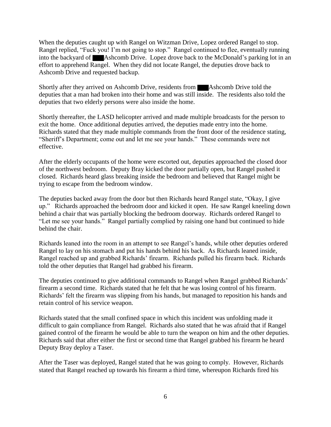When the deputies caught up with Rangel on Witzman Drive, Lopez ordered Rangel to stop. Rangel replied, "Fuck you! I'm not going to stop." Rangel continued to flee, eventually running into the backyard of Ashcomb Drive. Lopez drove back to the McDonald's parking lot in an effort to apprehend Rangel. When they did not locate Rangel, the deputies drove back to Ashcomb Drive and requested backup.

Shortly after they arrived on Ashcomb Drive, residents from **Ashcomb Drive told the** deputies that a man had broken into their home and was still inside. The residents also told the deputies that two elderly persons were also inside the home.

Shortly thereafter, the LASD helicopter arrived and made multiple broadcasts for the person to exit the home. Once additional deputies arrived, the deputies made entry into the home. Richards stated that they made multiple commands from the front door of the residence stating, "Sheriff's Department; come out and let me see your hands." These commands were not effective.

After the elderly occupants of the home were escorted out, deputies approached the closed door of the northwest bedroom. Deputy Bray kicked the door partially open, but Rangel pushed it closed. Richards heard glass breaking inside the bedroom and believed that Rangel might be trying to escape from the bedroom window.

The deputies backed away from the door but then Richards heard Rangel state, "Okay, I give up." Richards approached the bedroom door and kicked it open. He saw Rangel kneeling down behind a chair that was partially blocking the bedroom doorway. Richards ordered Rangel to "Let me see your hands." Rangel partially complied by raising one hand but continued to hide behind the chair.

Richards leaned into the room in an attempt to see Rangel's hands, while other deputies ordered Rangel to lay on his stomach and put his hands behind his back. As Richards leaned inside, Rangel reached up and grabbed Richards' firearm. Richards pulled his firearm back. Richards told the other deputies that Rangel had grabbed his firearm.

The deputies continued to give additional commands to Rangel when Rangel grabbed Richards' firearm a second time. Richards stated that he felt that he was losing control of his firearm. Richards' felt the firearm was slipping from his hands, but managed to reposition his hands and retain control of his service weapon.

Richards stated that the small confined space in which this incident was unfolding made it difficult to gain compliance from Rangel. Richards also stated that he was afraid that if Rangel gained control of the firearm he would be able to turn the weapon on him and the other deputies. Richards said that after either the first or second time that Rangel grabbed his firearm he heard Deputy Bray deploy a Taser.

After the Taser was deployed, Rangel stated that he was going to comply. However, Richards stated that Rangel reached up towards his firearm a third time, whereupon Richards fired his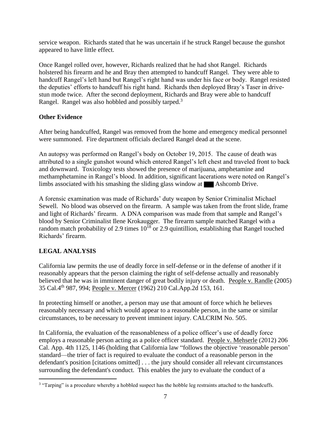service weapon. Richards stated that he was uncertain if he struck Rangel because the gunshot appeared to have little effect.

Once Rangel rolled over, however, Richards realized that he had shot Rangel. Richards holstered his firearm and he and Bray then attempted to handcuff Rangel. They were able to handcuff Rangel's left hand but Rangel's right hand was under his face or body. Rangel resisted the deputies' efforts to handcuff his right hand. Richards then deployed Bray's Taser in drivestun mode twice. After the second deployment, Richards and Bray were able to handcuff Rangel. Rangel was also hobbled and possibly tarped.<sup>3</sup>

# **Other Evidence**

After being handcuffed, Rangel was removed from the home and emergency medical personnel were summoned. Fire department officials declared Rangel dead at the scene.

An autopsy was performed on Rangel's body on October 19, 2015. The cause of death was attributed to a single gunshot wound which entered Rangel's left chest and traveled front to back and downward. Toxicology tests showed the presence of marijuana, amphetamine and methamphetamine in Rangel's blood. In addition, significant lacerations were noted on Rangel's limbs associated with his smashing the sliding glass window at Ashcomb Drive.

A forensic examination was made of Richards' duty weapon by Senior Criminalist Michael Sewell. No blood was observed on the firearm. A sample was taken from the front slide, frame and light of Richards' firearm. A DNA comparison was made from that sample and Rangel's blood by Senior Criminalist Ilene Krokaugger. The firearm sample matched Rangel with a random match probability of 2.9 times  $10^{18}$  or 2.9 quintillion, establishing that Rangel touched Richards' firearm.

# **LEGAL ANALYSIS**

California law permits the use of deadly force in self-defense or in the defense of another if it reasonably appears that the person claiming the right of self-defense actually and reasonably believed that he was in imminent danger of great bodily injury or death. People v. Randle (2005) 35 Cal.4th 987, 994; People v. Mercer (1962) 210 Cal.App.2d 153, 161.

In protecting himself or another, a person may use that amount of force which he believes reasonably necessary and which would appear to a reasonable person, in the same or similar circumstances, to be necessary to prevent imminent injury. CALCRIM No. 505.

In California, the evaluation of the reasonableness of a police officer's use of deadly force employs a reasonable person acting as a police officer standard. People v. Mehserle (2012) 206 Cal. App. 4th 1125, 1146 (holding that California law "follows the objective 'reasonable person' standard—the trier of fact is required to evaluate the conduct of a reasonable person in the defendant's position [citations omitted] . . . the jury should consider all relevant circumstances surrounding the defendant's conduct. This enables the jury to evaluate the conduct of a

 $\overline{a}$ <sup>3</sup> "Tarping" is a procedure whereby a hobbled suspect has the hobble leg restraints attached to the handcuffs.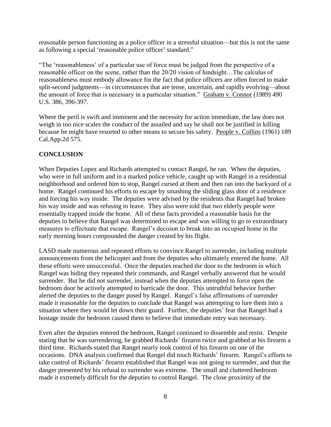reasonable person functioning as a police officer in a stressful situation—but this is not the same as following a special 'reasonable police officer' standard."

"The 'reasonableness' of a particular use of force must be judged from the perspective of a reasonable officer on the scene, rather than the 20/20 vision of hindsight…The calculus of reasonableness must embody allowance for the fact that police officers are often forced to make split-second judgments—in circumstances that are tense, uncertain, and rapidly evolving—about the amount of force that is necessary in a particular situation." Graham v. Connor (1989) 490 U.S. 386, 396-397.

Where the peril is swift and imminent and the necessity for action immediate, the law does not weigh in too nice scales the conduct of the assailed and say he shall not be justified in killing because he might have resorted to other means to secure his safety. People v. Collins (1961) 189 Cal.App.2d 575.

# **CONCLUSION**

When Deputies Lopez and Richards attempted to contact Rangel, he ran. When the deputies, who were in full uniform and in a marked police vehicle, caught up with Rangel in a residential neighborhood and ordered him to stop, Rangel cursed at them and then ran into the backyard of a home. Rangel continued his efforts to escape by smashing the sliding glass door of a residence and forcing his way inside. The deputies were advised by the residents that Rangel had broken his way inside and was refusing to leave. They also were told that two elderly people were essentially trapped inside the home. All of these facts provided a reasonable basis for the deputies to believe that Rangel was determined to escape and was willing to go to extraordinary measures to effectuate that escape. Rangel's decision to break into an occupied home in the early morning hours compounded the danger created by his flight.

LASD made numerous and repeated efforts to convince Rangel to surrender, including multiple announcements from the helicopter and from the deputies who ultimately entered the home. All these efforts were unsuccessful. Once the deputies reached the door to the bedroom in which Rangel was hiding they repeated their commands, and Rangel verbally answered that he would surrender. But he did not surrender, instead when the deputies attempted to force open the bedroom door he actively attempted to barricade the door. This untruthful behavior further alerted the deputies to the danger posed by Rangel. Rangel's false affirmations of surrender made it reasonable for the deputies to conclude that Rangel was attempting to lure them into a situation where they would let down their guard. Further, the deputies' fear that Rangel had a hostage inside the bedroom caused them to believe that immediate entry was necessary.

Even after the deputies entered the bedroom, Rangel continued to dissemble and resist. Despite stating that he was surrendering, he grabbed Richards' firearm twice and grabbed at his firearm a third time. Richards stated that Rangel nearly took control of his firearm on one of the occasions. DNA analysis confirmed that Rangel did touch Richards' firearm. Rangel's efforts to take control of Richards' firearm established that Rangel was not going to surrender, and that the danger presented by his refusal to surrender was extreme. The small and cluttered bedroom made it extremely difficult for the deputies to control Rangel. The close proximity of the